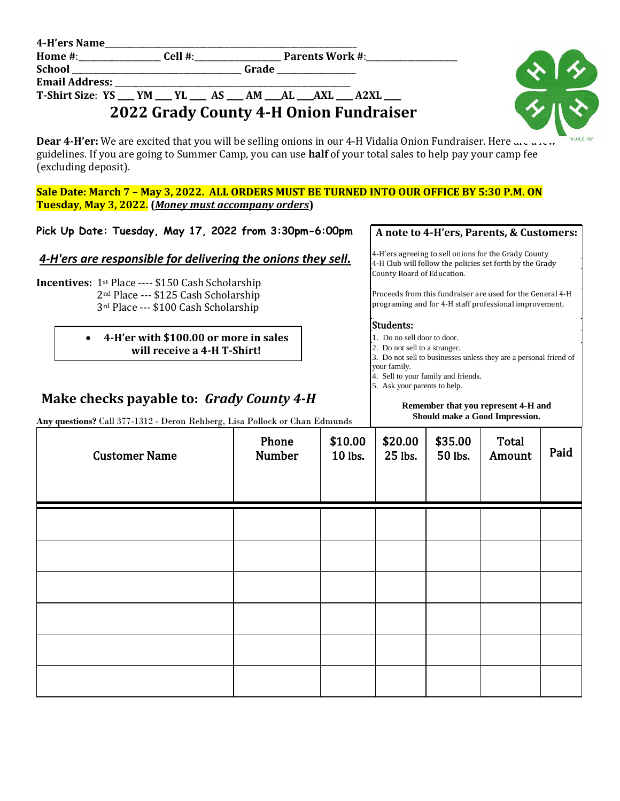| 4-H'ers Name    |                       |               |
|-----------------|-----------------------|---------------|
| <b>H</b> omo #. | $\boldsymbol{0}$ ብ] # | Doronte Worlz |

**Home #**:\_\_\_\_\_\_\_\_\_\_\_\_\_\_\_\_\_\_\_\_ **Cell #**:\_\_\_\_\_\_\_\_\_\_\_\_\_\_\_\_\_\_\_\_\_ **Parents Work #**:\_\_\_\_\_\_\_\_\_\_\_\_\_\_\_\_\_\_\_\_\_\_

**School** \_\_\_\_\_\_\_\_\_\_\_\_\_\_\_\_\_\_\_\_\_\_\_\_\_\_\_\_\_\_\_\_\_\_\_\_\_\_\_\_\_ **Grade** \_\_\_\_\_\_\_\_\_\_\_\_\_\_\_\_\_\_\_

**Email Address:** 

## **T-Shirt Size**: **YS** \_\_\_\_ **YM** \_\_\_\_ **YL** \_\_\_\_ **AS** \_\_\_\_ **AM** \_\_\_\_**AL** \_\_\_\_**AXL** \_\_\_\_ **A2XL** \_\_\_\_ **2022 Grady County 4-H Onion Fundraiser**



**Dear 4-H'er:** We are excited that you will be selling onions in our 4-H Vidalia Onion Fundraiser. Here  $\mu$ guidelines. If you are going to Summer Camp, you can use **half** of your total sales to help pay your camp fee (excluding deposit).

**Sale Date: March 7 – May 3, 2022. ALL ORDERS MUST BE TURNED INTO OUR OFFICE BY 5:30 P.M. ON Tuesday, May 3, 2022. (***Money must accompany orders***)**

**Pick Up Date: Tuesday, May 17, 2022 from 3:30pm-6:00pm**

## *4-H'ers are responsible for delivering the onions they sell.*

**Incentives:** 1st Place ---- \$150 Cash Scholarship 2nd Place --- \$125 Cash Scholarship 3rd Place --- \$100 Cash Scholarship

> **4-H'er with \$100.00 or more in sales will receive a 4-H T-Shirt!**

# **Make checks payable to:** *Grady County 4-H*

**Any questions?** Call 377-1312 - Deron Rehberg, Lisa Pollock or Chan Edmunds

### **A note to 4-H'ers, Parents, & Customers:**

4-H'ers agreeing to sell onions for the Grady County 4-H Club will follow the policies set forth by the Grady County Board of Education.

Proceeds from this fundraiser are used for the General 4-H programing and for 4-H staff professional improvement.

### Students:

- 1. Do no sell door to door.
- 2. Do not sell to a stranger.
- 3. Do not sell to businesses unless they are a personal friend of your family.
- 4. Sell to your family and friends.
- 5. Ask your parents to help.

#### **Remember that you represent 4-H and Should make a Good Impression.**

| they questions. Can be the belon reduced, more on once or chan Edination<br><b>Customer Name</b> | Phone<br><b>Number</b> | \$10.00<br>10 lbs. | \$20.00<br>25 lbs. | \$35.00<br>50 lbs. | Total<br>Amount | Paid |
|--------------------------------------------------------------------------------------------------|------------------------|--------------------|--------------------|--------------------|-----------------|------|
|                                                                                                  |                        |                    |                    |                    |                 |      |
|                                                                                                  |                        |                    |                    |                    |                 |      |
|                                                                                                  |                        |                    |                    |                    |                 |      |
|                                                                                                  |                        |                    |                    |                    |                 |      |
|                                                                                                  |                        |                    |                    |                    |                 |      |
|                                                                                                  |                        |                    |                    |                    |                 |      |